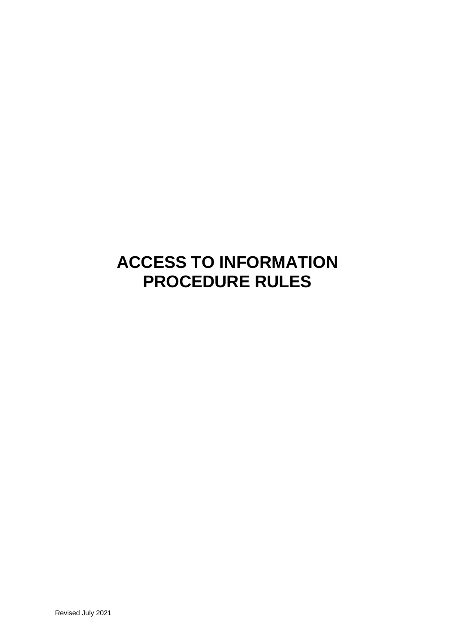# **ACCESS TO INFORMATION PROCEDURE RULES**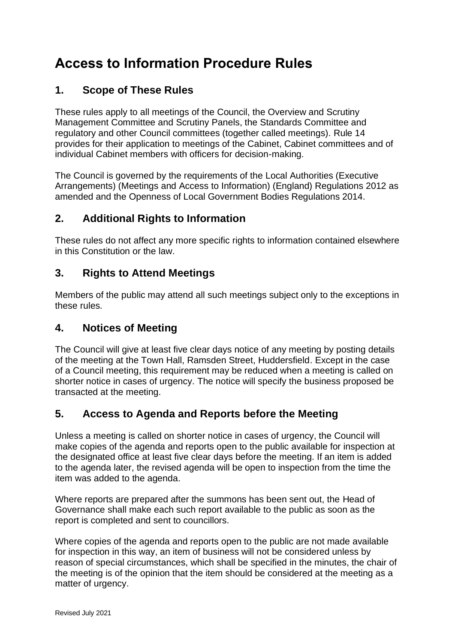## **Access to Information Procedure Rules**

## **1. Scope of These Rules**

These rules apply to all meetings of the Council, the Overview and Scrutiny Management Committee and Scrutiny Panels, the Standards Committee and regulatory and other Council committees (together called meetings). Rule 14 provides for their application to meetings of the Cabinet, Cabinet committees and of individual Cabinet members with officers for decision-making.

The Council is governed by the requirements of the Local Authorities (Executive Arrangements) (Meetings and Access to Information) (England) Regulations 2012 as amended and the Openness of Local Government Bodies Regulations 2014.

## **2. Additional Rights to Information**

These rules do not affect any more specific rights to information contained elsewhere in this Constitution or the law.

## **3. Rights to Attend Meetings**

Members of the public may attend all such meetings subject only to the exceptions in these rules.

#### **4. Notices of Meeting**

The Council will give at least five clear days notice of any meeting by posting details of the meeting at the Town Hall, Ramsden Street, Huddersfield. Except in the case of a Council meeting, this requirement may be reduced when a meeting is called on shorter notice in cases of urgency. The notice will specify the business proposed be transacted at the meeting.

## **5. Access to Agenda and Reports before the Meeting**

Unless a meeting is called on shorter notice in cases of urgency, the Council will make copies of the agenda and reports open to the public available for inspection at the designated office at least five clear days before the meeting. If an item is added to the agenda later, the revised agenda will be open to inspection from the time the item was added to the agenda.

Where reports are prepared after the summons has been sent out, the Head of Governance shall make each such report available to the public as soon as the report is completed and sent to councillors.

Where copies of the agenda and reports open to the public are not made available for inspection in this way, an item of business will not be considered unless by reason of special circumstances, which shall be specified in the minutes, the chair of the meeting is of the opinion that the item should be considered at the meeting as a matter of urgency.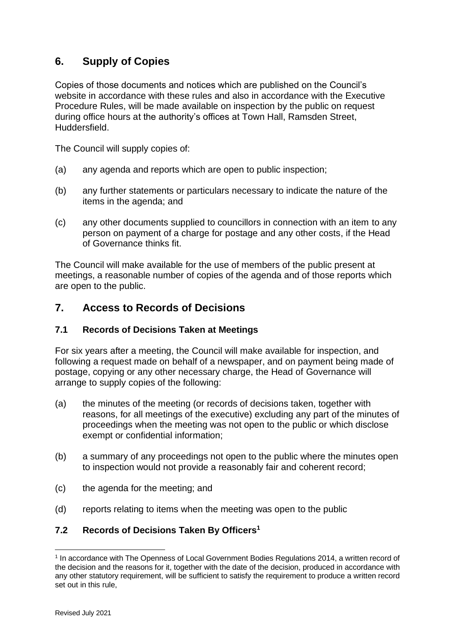## **6. Supply of Copies**

Copies of those documents and notices which are published on the Council's website in accordance with these rules and also in accordance with the Executive Procedure Rules, will be made available on inspection by the public on request during office hours at the authority's offices at Town Hall, Ramsden Street, Huddersfield.

The Council will supply copies of:

- (a) any agenda and reports which are open to public inspection;
- (b) any further statements or particulars necessary to indicate the nature of the items in the agenda; and
- (c) any other documents supplied to councillors in connection with an item to any person on payment of a charge for postage and any other costs, if the Head of Governance thinks fit.

The Council will make available for the use of members of the public present at meetings, a reasonable number of copies of the agenda and of those reports which are open to the public.

#### **7. Access to Records of Decisions**

#### **7.1 Records of Decisions Taken at Meetings**

For six years after a meeting, the Council will make available for inspection, and following a request made on behalf of a newspaper, and on payment being made of postage, copying or any other necessary charge, the Head of Governance will arrange to supply copies of the following:

- (a) the minutes of the meeting (or records of decisions taken, together with reasons, for all meetings of the executive) excluding any part of the minutes of proceedings when the meeting was not open to the public or which disclose exempt or confidential information;
- (b) a summary of any proceedings not open to the public where the minutes open to inspection would not provide a reasonably fair and coherent record;
- (c) the agenda for the meeting; and
- (d) reports relating to items when the meeting was open to the public

#### **7.2 Records of Decisions Taken By Officers<sup>1</sup>**

<sup>&</sup>lt;sup>1</sup> In accordance with The Openness of Local Government Bodies Regulations 2014, a written record of the decision and the reasons for it, together with the date of the decision, produced in accordance with any other statutory requirement, will be sufficient to satisfy the requirement to produce a written record set out in this rule.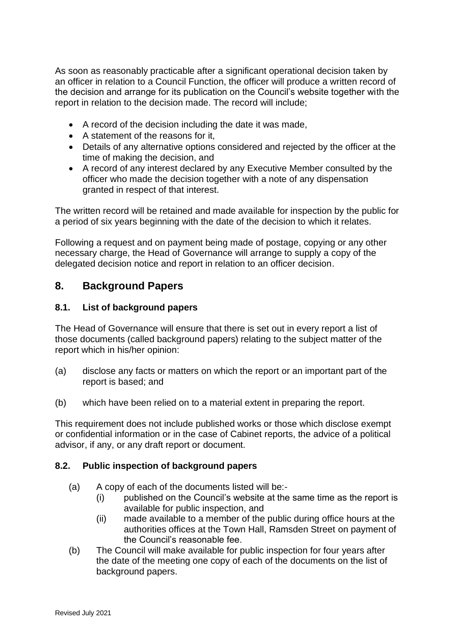As soon as reasonably practicable after a significant operational decision taken by an officer in relation to a Council Function, the officer will produce a written record of the decision and arrange for its publication on the Council's website together with the report in relation to the decision made. The record will include;

- A record of the decision including the date it was made,
- A statement of the reasons for it,
- Details of any alternative options considered and rejected by the officer at the time of making the decision, and
- A record of any interest declared by any Executive Member consulted by the officer who made the decision together with a note of any dispensation granted in respect of that interest.

The written record will be retained and made available for inspection by the public for a period of six years beginning with the date of the decision to which it relates.

Following a request and on payment being made of postage, copying or any other necessary charge, the Head of Governance will arrange to supply a copy of the delegated decision notice and report in relation to an officer decision.

## **8. Background Papers**

#### **8.1. List of background papers**

The Head of Governance will ensure that there is set out in every report a list of those documents (called background papers) relating to the subject matter of the report which in his/her opinion:

- (a) disclose any facts or matters on which the report or an important part of the report is based; and
- (b) which have been relied on to a material extent in preparing the report.

This requirement does not include published works or those which disclose exempt or confidential information or in the case of Cabinet reports, the advice of a political advisor, if any, or any draft report or document.

#### **8.2. Public inspection of background papers**

- (a) A copy of each of the documents listed will be:-
	- (i) published on the Council's website at the same time as the report is available for public inspection, and
	- (ii) made available to a member of the public during office hours at the authorities offices at the Town Hall, Ramsden Street on payment of the Council's reasonable fee.
- (b) The Council will make available for public inspection for four years after the date of the meeting one copy of each of the documents on the list of background papers.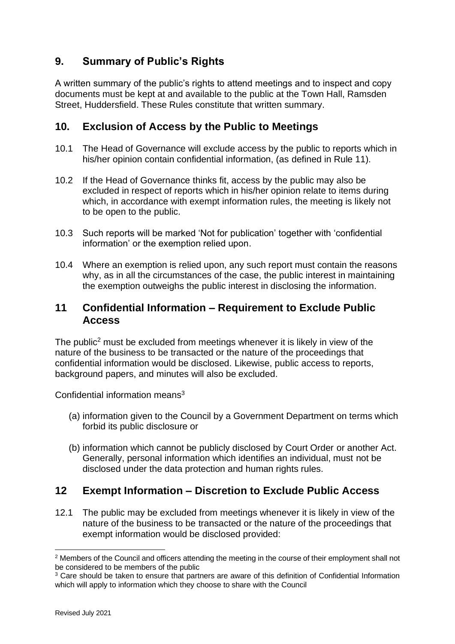## **9. Summary of Public's Rights**

A written summary of the public's rights to attend meetings and to inspect and copy documents must be kept at and available to the public at the Town Hall, Ramsden Street, Huddersfield. These Rules constitute that written summary.

### **10. Exclusion of Access by the Public to Meetings**

- 10.1 The Head of Governance will exclude access by the public to reports which in his/her opinion contain confidential information, (as defined in Rule 11).
- 10.2 If the Head of Governance thinks fit, access by the public may also be excluded in respect of reports which in his/her opinion relate to items during which, in accordance with exempt information rules, the meeting is likely not to be open to the public.
- 10.3 Such reports will be marked 'Not for publication' together with 'confidential information' or the exemption relied upon.
- 10.4 Where an exemption is relied upon, any such report must contain the reasons why, as in all the circumstances of the case, the public interest in maintaining the exemption outweighs the public interest in disclosing the information.

### **11 Confidential Information – Requirement to Exclude Public Access**

The public<sup>2</sup> must be excluded from meetings whenever it is likely in view of the nature of the business to be transacted or the nature of the proceedings that confidential information would be disclosed. Likewise, public access to reports, background papers, and minutes will also be excluded.

Confidential information means<sup>3</sup>

- (a) information given to the Council by a Government Department on terms which forbid its public disclosure or
- (b) information which cannot be publicly disclosed by Court Order or another Act. Generally, personal information which identifies an individual, must not be disclosed under the data protection and human rights rules.

## **12 Exempt Information – Discretion to Exclude Public Access**

12.1 The public may be excluded from meetings whenever it is likely in view of the nature of the business to be transacted or the nature of the proceedings that exempt information would be disclosed provided:

 $2$  Members of the Council and officers attending the meeting in the course of their employment shall not be considered to be members of the public

<sup>&</sup>lt;sup>3</sup> Care should be taken to ensure that partners are aware of this definition of Confidential Information which will apply to information which they choose to share with the Council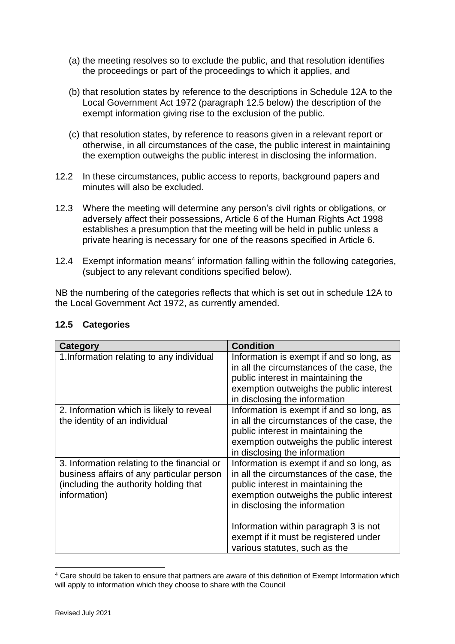- (a) the meeting resolves so to exclude the public, and that resolution identifies the proceedings or part of the proceedings to which it applies, and
- (b) that resolution states by reference to the descriptions in Schedule 12A to the Local Government Act 1972 (paragraph 12.5 below) the description of the exempt information giving rise to the exclusion of the public.
- (c) that resolution states, by reference to reasons given in a relevant report or otherwise, in all circumstances of the case, the public interest in maintaining the exemption outweighs the public interest in disclosing the information.
- 12.2 In these circumstances, public access to reports, background papers and minutes will also be excluded.
- 12.3 Where the meeting will determine any person's civil rights or obligations, or adversely affect their possessions, Article 6 of the Human Rights Act 1998 establishes a presumption that the meeting will be held in public unless a private hearing is necessary for one of the reasons specified in Article 6.
- 12.4 Exempt information means<sup>4</sup> information falling within the following categories, (subject to any relevant conditions specified below).

NB the numbering of the categories reflects that which is set out in schedule 12A to the Local Government Act 1972, as currently amended.

| Category                                                                                                                                          | <b>Condition</b>                                                                                                                                                                                                                                 |
|---------------------------------------------------------------------------------------------------------------------------------------------------|--------------------------------------------------------------------------------------------------------------------------------------------------------------------------------------------------------------------------------------------------|
| 1. Information relating to any individual                                                                                                         | Information is exempt if and so long, as<br>in all the circumstances of the case, the<br>public interest in maintaining the<br>exemption outweighs the public interest<br>in disclosing the information                                          |
| 2. Information which is likely to reveal<br>the identity of an individual                                                                         | Information is exempt if and so long, as<br>in all the circumstances of the case, the<br>public interest in maintaining the<br>exemption outweighs the public interest<br>in disclosing the information                                          |
| 3. Information relating to the financial or<br>business affairs of any particular person<br>(including the authority holding that<br>information) | Information is exempt if and so long, as<br>in all the circumstances of the case, the<br>public interest in maintaining the<br>exemption outweighs the public interest<br>in disclosing the information<br>Information within paragraph 3 is not |
|                                                                                                                                                   | exempt if it must be registered under<br>various statutes, such as the                                                                                                                                                                           |

#### **12.5 Categories**

<sup>4</sup> Care should be taken to ensure that partners are aware of this definition of Exempt Information which will apply to information which they choose to share with the Council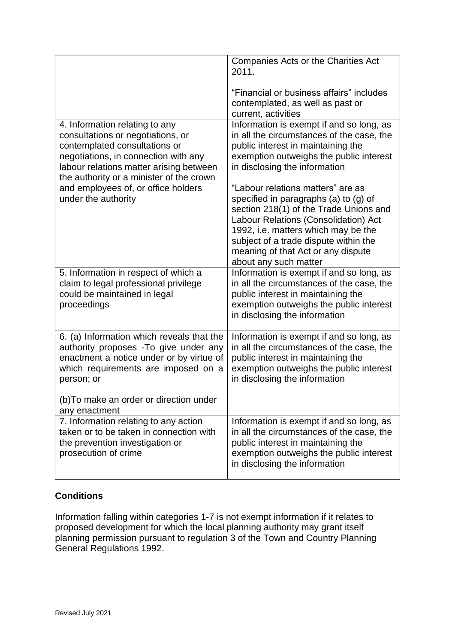|                                                                                                                                                                                                                                     | Companies Acts or the Charities Act<br>2011.                                                                                                                                                                                                                                                                |
|-------------------------------------------------------------------------------------------------------------------------------------------------------------------------------------------------------------------------------------|-------------------------------------------------------------------------------------------------------------------------------------------------------------------------------------------------------------------------------------------------------------------------------------------------------------|
|                                                                                                                                                                                                                                     | "Financial or business affairs" includes<br>contemplated, as well as past or<br>current, activities                                                                                                                                                                                                         |
| 4. Information relating to any<br>consultations or negotiations, or<br>contemplated consultations or<br>negotiations, in connection with any<br>labour relations matter arising between<br>the authority or a minister of the crown | Information is exempt if and so long, as<br>in all the circumstances of the case, the<br>public interest in maintaining the<br>exemption outweighs the public interest<br>in disclosing the information                                                                                                     |
| and employees of, or office holders<br>under the authority                                                                                                                                                                          | "Labour relations matters" are as<br>specified in paragraphs (a) to (g) of<br>section 218(1) of the Trade Unions and<br>Labour Relations (Consolidation) Act<br>1992, i.e. matters which may be the<br>subject of a trade dispute within the<br>meaning of that Act or any dispute<br>about any such matter |
| 5. Information in respect of which a<br>claim to legal professional privilege<br>could be maintained in legal<br>proceedings                                                                                                        | Information is exempt if and so long, as<br>in all the circumstances of the case, the<br>public interest in maintaining the<br>exemption outweighs the public interest<br>in disclosing the information                                                                                                     |
| 6. (a) Information which reveals that the<br>authority proposes - To give under any<br>enactment a notice under or by virtue of<br>which requirements are imposed on a<br>person; or                                                | Information is exempt if and so long, as<br>in all the circumstances of the case, the<br>public interest in maintaining the<br>exemption outweighs the public interest<br>in disclosing the information                                                                                                     |
| (b) To make an order or direction under<br>any enactment                                                                                                                                                                            |                                                                                                                                                                                                                                                                                                             |
| 7. Information relating to any action<br>taken or to be taken in connection with<br>the prevention investigation or<br>prosecution of crime                                                                                         | Information is exempt if and so long, as<br>in all the circumstances of the case, the<br>public interest in maintaining the<br>exemption outweighs the public interest<br>in disclosing the information                                                                                                     |

#### **Conditions**

Information falling within categories 1-7 is not exempt information if it relates to proposed development for which the local planning authority may grant itself planning permission pursuant to regulation 3 of the Town and Country Planning General Regulations 1992.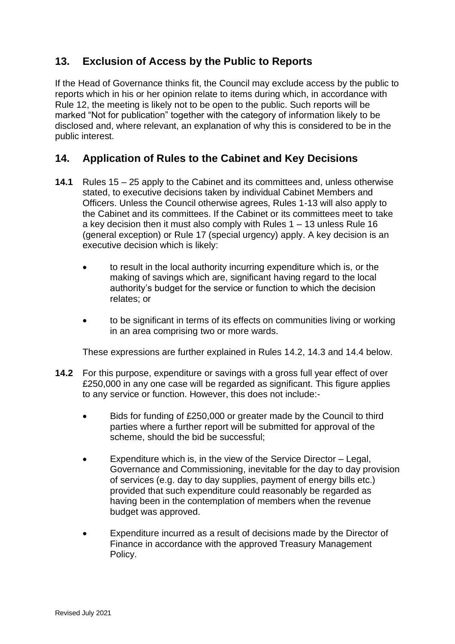## **13. Exclusion of Access by the Public to Reports**

If the Head of Governance thinks fit, the Council may exclude access by the public to reports which in his or her opinion relate to items during which, in accordance with Rule 12, the meeting is likely not to be open to the public. Such reports will be marked "Not for publication" together with the category of information likely to be disclosed and, where relevant, an explanation of why this is considered to be in the public interest.

## **14. Application of Rules to the Cabinet and Key Decisions**

- **14.1** Rules 15 25 apply to the Cabinet and its committees and, unless otherwise stated, to executive decisions taken by individual Cabinet Members and Officers. Unless the Council otherwise agrees, Rules 1-13 will also apply to the Cabinet and its committees. If the Cabinet or its committees meet to take a key decision then it must also comply with Rules 1 – 13 unless Rule 16 (general exception) or Rule 17 (special urgency) apply. A key decision is an executive decision which is likely:
	- to result in the local authority incurring expenditure which is, or the making of savings which are, significant having regard to the local authority's budget for the service or function to which the decision relates; or
	- to be significant in terms of its effects on communities living or working in an area comprising two or more wards.

These expressions are further explained in Rules 14.2, 14.3 and 14.4 below.

- **14.2** For this purpose, expenditure or savings with a gross full year effect of over £250,000 in any one case will be regarded as significant. This figure applies to any service or function. However, this does not include:-
	- Bids for funding of £250,000 or greater made by the Council to third parties where a further report will be submitted for approval of the scheme, should the bid be successful;
	- Expenditure which is, in the view of the Service Director Legal, Governance and Commissioning, inevitable for the day to day provision of services (e.g. day to day supplies, payment of energy bills etc.) provided that such expenditure could reasonably be regarded as having been in the contemplation of members when the revenue budget was approved.
	- Expenditure incurred as a result of decisions made by the Director of Finance in accordance with the approved Treasury Management Policy.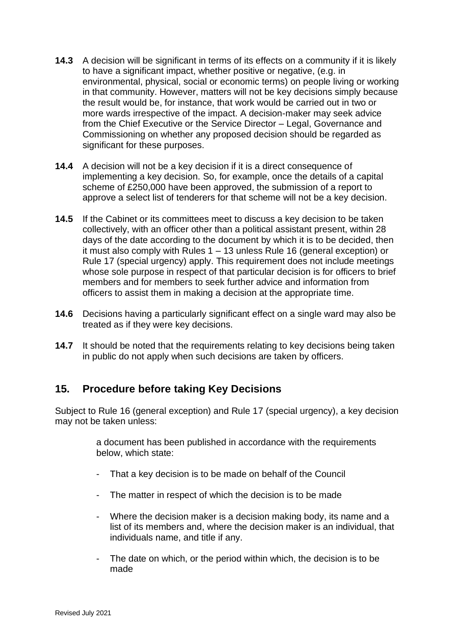- **14.3** A decision will be significant in terms of its effects on a community if it is likely to have a significant impact, whether positive or negative, (e.g. in environmental, physical, social or economic terms) on people living or working in that community. However, matters will not be key decisions simply because the result would be, for instance, that work would be carried out in two or more wards irrespective of the impact. A decision-maker may seek advice from the Chief Executive or the Service Director – Legal, Governance and Commissioning on whether any proposed decision should be regarded as significant for these purposes.
- **14.4** A decision will not be a key decision if it is a direct consequence of implementing a key decision. So, for example, once the details of a capital scheme of £250,000 have been approved, the submission of a report to approve a select list of tenderers for that scheme will not be a key decision.
- **14.5** If the Cabinet or its committees meet to discuss a key decision to be taken collectively, with an officer other than a political assistant present, within 28 days of the date according to the document by which it is to be decided, then it must also comply with Rules 1 – 13 unless Rule 16 (general exception) or Rule 17 (special urgency) apply. This requirement does not include meetings whose sole purpose in respect of that particular decision is for officers to brief members and for members to seek further advice and information from officers to assist them in making a decision at the appropriate time.
- **14.6** Decisions having a particularly significant effect on a single ward may also be treated as if they were key decisions.
- **14.7** It should be noted that the requirements relating to key decisions being taken in public do not apply when such decisions are taken by officers.

#### **15. Procedure before taking Key Decisions**

Subject to Rule 16 (general exception) and Rule 17 (special urgency), a key decision may not be taken unless:

> a document has been published in accordance with the requirements below, which state:

- That a key decision is to be made on behalf of the Council
- The matter in respect of which the decision is to be made
- Where the decision maker is a decision making body, its name and a list of its members and, where the decision maker is an individual, that individuals name, and title if any.
- The date on which, or the period within which, the decision is to be made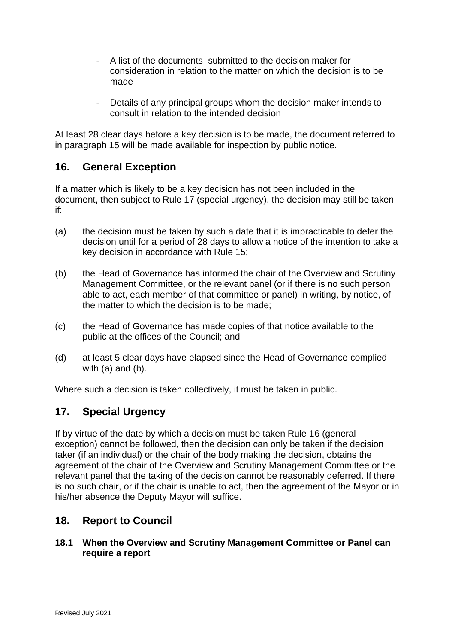- A list of the documents submitted to the decision maker for consideration in relation to the matter on which the decision is to be made
- Details of any principal groups whom the decision maker intends to consult in relation to the intended decision

At least 28 clear days before a key decision is to be made, the document referred to in paragraph 15 will be made available for inspection by public notice.

#### **16. General Exception**

If a matter which is likely to be a key decision has not been included in the document, then subject to Rule 17 (special urgency), the decision may still be taken if:

- (a) the decision must be taken by such a date that it is impracticable to defer the decision until for a period of 28 days to allow a notice of the intention to take a key decision in accordance with Rule 15;
- (b) the Head of Governance has informed the chair of the Overview and Scrutiny Management Committee, or the relevant panel (or if there is no such person able to act, each member of that committee or panel) in writing, by notice, of the matter to which the decision is to be made;
- (c) the Head of Governance has made copies of that notice available to the public at the offices of the Council; and
- (d) at least 5 clear days have elapsed since the Head of Governance complied with (a) and (b).

Where such a decision is taken collectively, it must be taken in public.

## **17. Special Urgency**

If by virtue of the date by which a decision must be taken Rule 16 (general exception) cannot be followed, then the decision can only be taken if the decision taker (if an individual) or the chair of the body making the decision, obtains the agreement of the chair of the Overview and Scrutiny Management Committee or the relevant panel that the taking of the decision cannot be reasonably deferred. If there is no such chair, or if the chair is unable to act, then the agreement of the Mayor or in his/her absence the Deputy Mayor will suffice.

## **18. Report to Council**

#### **18.1 When the Overview and Scrutiny Management Committee or Panel can require a report**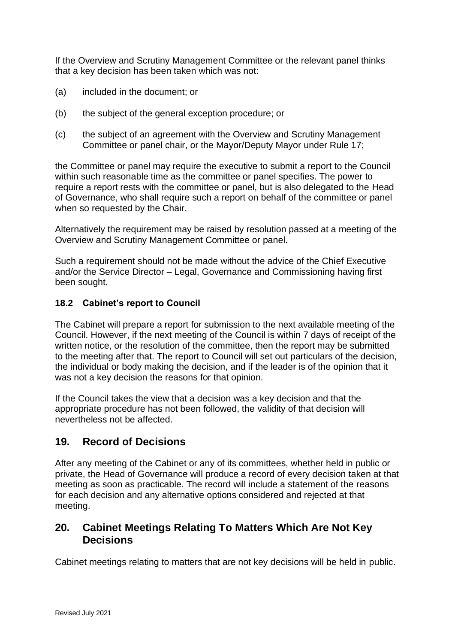If the Overview and Scrutiny Management Committee or the relevant panel thinks that a key decision has been taken which was not:

- (a) included in the document; or
- (b) the subject of the general exception procedure; or
- (c) the subject of an agreement with the Overview and Scrutiny Management Committee or panel chair, or the Mayor/Deputy Mayor under Rule 17;

the Committee or panel may require the executive to submit a report to the Council within such reasonable time as the committee or panel specifies. The power to require a report rests with the committee or panel, but is also delegated to the Head of Governance, who shall require such a report on behalf of the committee or panel when so requested by the Chair.

Alternatively the requirement may be raised by resolution passed at a meeting of the Overview and Scrutiny Management Committee or panel.

Such a requirement should not be made without the advice of the Chief Executive and/or the Service Director – Legal, Governance and Commissioning having first been sought.

#### **18.2 Cabinet's report to Council**

The Cabinet will prepare a report for submission to the next available meeting of the Council. However, if the next meeting of the Council is within 7 days of receipt of the written notice, or the resolution of the committee, then the report may be submitted to the meeting after that. The report to Council will set out particulars of the decision, the individual or body making the decision, and if the leader is of the opinion that it was not a key decision the reasons for that opinion.

If the Council takes the view that a decision was a key decision and that the appropriate procedure has not been followed, the validity of that decision will nevertheless not be affected.

#### **19. Record of Decisions**

After any meeting of the Cabinet or any of its committees, whether held in public or private, the Head of Governance will produce a record of every decision taken at that meeting as soon as practicable. The record will include a statement of the reasons for each decision and any alternative options considered and rejected at that meeting.

#### **20. Cabinet Meetings Relating To Matters Which Are Not Key Decisions**

Cabinet meetings relating to matters that are not key decisions will be held in public.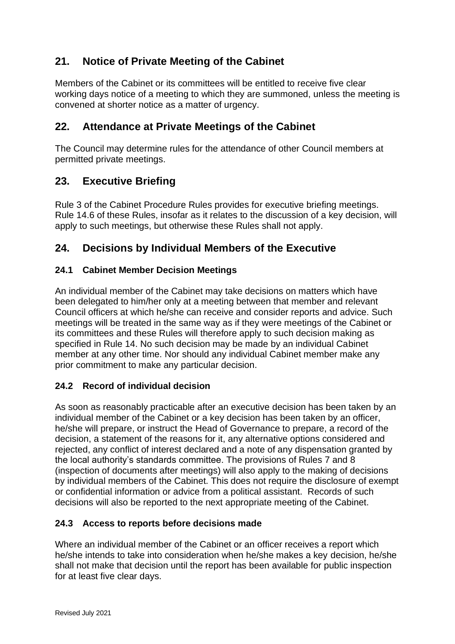## **21. Notice of Private Meeting of the Cabinet**

Members of the Cabinet or its committees will be entitled to receive five clear working days notice of a meeting to which they are summoned, unless the meeting is convened at shorter notice as a matter of urgency.

## **22. Attendance at Private Meetings of the Cabinet**

The Council may determine rules for the attendance of other Council members at permitted private meetings.

## **23. Executive Briefing**

Rule 3 of the Cabinet Procedure Rules provides for executive briefing meetings. Rule 14.6 of these Rules, insofar as it relates to the discussion of a key decision, will apply to such meetings, but otherwise these Rules shall not apply.

## **24. Decisions by Individual Members of the Executive**

#### **24.1 Cabinet Member Decision Meetings**

An individual member of the Cabinet may take decisions on matters which have been delegated to him/her only at a meeting between that member and relevant Council officers at which he/she can receive and consider reports and advice. Such meetings will be treated in the same way as if they were meetings of the Cabinet or its committees and these Rules will therefore apply to such decision making as specified in Rule 14. No such decision may be made by an individual Cabinet member at any other time. Nor should any individual Cabinet member make any prior commitment to make any particular decision.

#### **24.2 Record of individual decision**

As soon as reasonably practicable after an executive decision has been taken by an individual member of the Cabinet or a key decision has been taken by an officer, he/she will prepare, or instruct the Head of Governance to prepare, a record of the decision, a statement of the reasons for it, any alternative options considered and rejected, any conflict of interest declared and a note of any dispensation granted by the local authority's standards committee. The provisions of Rules 7 and 8 (inspection of documents after meetings) will also apply to the making of decisions by individual members of the Cabinet. This does not require the disclosure of exempt or confidential information or advice from a political assistant. Records of such decisions will also be reported to the next appropriate meeting of the Cabinet.

#### **24.3 Access to reports before decisions made**

Where an individual member of the Cabinet or an officer receives a report which he/she intends to take into consideration when he/she makes a key decision, he/she shall not make that decision until the report has been available for public inspection for at least five clear days.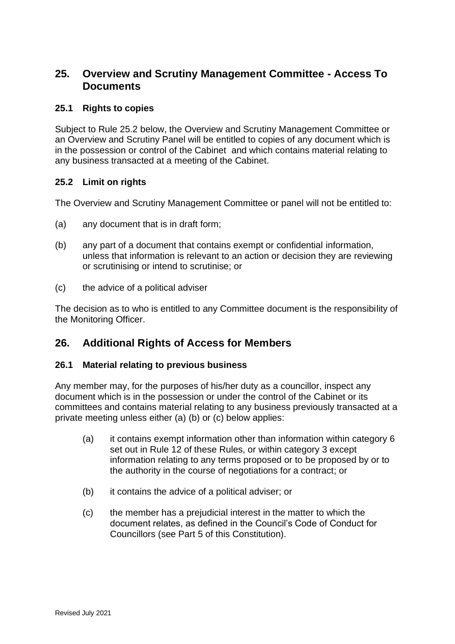## **25. Overview and Scrutiny Management Committee - Access To Documents**

#### **25.1 Rights to copies**

Subject to Rule 25.2 below, the Overview and Scrutiny Management Committee or an Overview and Scrutiny Panel will be entitled to copies of any document which is in the possession or control of the Cabinet and which contains material relating to any business transacted at a meeting of the Cabinet.

#### **25.2 Limit on rights**

The Overview and Scrutiny Management Committee or panel will not be entitled to:

- (a) any document that is in draft form;
- (b) any part of a document that contains exempt or confidential information, unless that information is relevant to an action or decision they are reviewing or scrutinising or intend to scrutinise; or
- (c) the advice of a political adviser

The decision as to who is entitled to any Committee document is the responsibility of the Monitoring Officer.

#### **26. Additional Rights of Access for Members**

#### **26.1 Material relating to previous business**

Any member may, for the purposes of his/her duty as a councillor, inspect any document which is in the possession or under the control of the Cabinet or its committees and contains material relating to any business previously transacted at a private meeting unless either (a) (b) or (c) below applies:

- (a) it contains exempt information other than information within category 6 set out in Rule 12 of these Rules, or within category 3 except information relating to any terms proposed or to be proposed by or to the authority in the course of negotiations for a contract; or
- (b) it contains the advice of a political adviser; or
- (c) the member has a prejudicial interest in the matter to which the document relates, as defined in the Council's Code of Conduct for Councillors (see Part 5 of this Constitution).